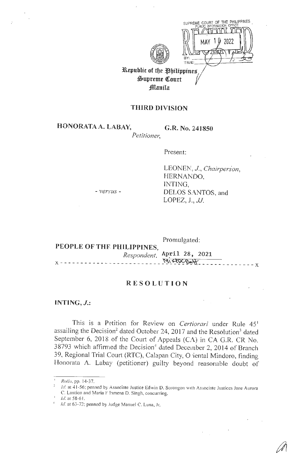

**Republic of the Philippines**  $\mathfrak{Supreme}$  Court *f***llanila** 

 $\widehat{\mathbb{Z}}$  $\sum_{i=1}^N$ 

 $~^{\circledR}$ 

~

## **THIRD DIVISION**

**HONORATAA. LABAY, G.R. No. 241850** 

..:

*Petitioner,* 

Present:

LEONEN, J., Chairperson, HERNANDO, INTING. DELOS SANTOS, and LOPEZ, *J., JJ.* 

- *versus* -

**PEOPLE OF THF. PHILIPPINES,**  Promulgated: *Respondent.* **Ap?=il** 28, **2021**   $\frac{M_1^2}{2}$  Mistrograph - - - - - - - - - - - - - X

## **RESOLUTION**

**INTING,** *J.:* 

This is a Petition for Review on *Certiorari* under Rule 45<sup>1</sup> assailing the Decision<sup>2</sup> dated October 24, 2017 and the Resolution<sup>3</sup> dated September 6, 2018 of the Court of Appeals (CA) in CA G.R. CR No. 38793 which affirmed the Decision<sup>4</sup> dated December 2, 2014 of Branch 39, Regional Trial Court (RTC), Calapan City, O:iental Mindoro, finding Honorata A. Labay (petitioner) guilty beyond reasonable doubt of

<sup>&#</sup>x27; *Rullo,* pp. 14-37.

*Id.* at 41-56; penned by Associate Justice Edwin D. Sorongon with Associate Justices Jane Aurora C. Lantion and Maria F bmena D. Singh, concurring.

*Id.* at 58-61.

<sup>➔</sup> *Id* at 63-72; penned by .ludge Manuel C. Luna, Jr.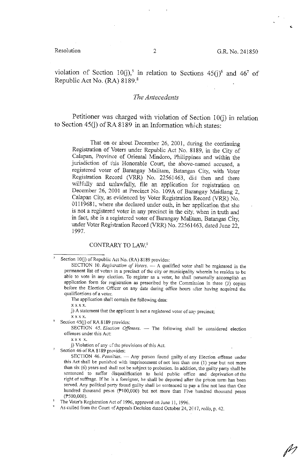..

violation of Section 10(j),<sup>5</sup> in relation to Sections 45(j)<sup>6</sup> and 46<sup>7</sup> of Republic Act No. (RA) 8189.8

## *The Antecedents*

Petitioner was charged with violation of Section 10(j) in relation to Section 45(j) of RA 8189 in an Information which states:

That on or about December 26, 2001, during the continuing Registration of Voters under Republic Act No. 8189, in the City of Calapan, Province of Oriental Mindoro, Philippines and within the jurisdiction of this Honorable Court, the above-named accused, a registered voter of Barangay Malitam, Batangas City, with Voter Registration Record (VRR) No. 22561463, did then and there willfully and unlawfully, file an application for registration on December 26, 2001 at Precinct No. 109A of Barangay Maidlang 2, Calapan City, as evidenced by Voter Registration Record (VRR) No. 01119681, where she declared under oath, in her application that she is not a registered voter in any precinct in the city, when in truth and in fact, she is a 1egistered voter of Barangay Malitam, Batangas City, under Voter Registration Record (VRR) No. 22561463, dated June 22, 1997.

### CONTRARY TO LAW.<sup>9</sup>

**The application shall contain the following data:** 

**X XX X.** 

**j**) A statement that the applicant is not a registered voter of any precinct;

**XX XX.** 

Section 45(j) of RA 8189 provides:

SECTION 45. *Election Offenses*. - The following shall be considered election **offenses under this Act:** 

**X XX X.** 

**j**) Violation of any  $\circ$ f the provisions of this Act.

Section 46 of RA 8189 provides:

SECTION 46. Penalties. - Any person found guilty of any Election offense under **this Act shall be punished with imprisonment of not less than one (1) year but not more**  than six (6) years and shall not be subject to probation. In addition, the guilty party shall be sentenced to suffer disqualification to hold public office and deprivation of the **right of suffrage. If he ;s a foreigner, he shall be deported after the prison term has been**  served. Any political party found guilty shall be sentenced to pav a fine not less than One hundred thousand pesos ( $f(100,000)$  but not more than Five hundred thousand pesos (f'500,000).

The Voter's Registration Act of 1996, approved on June 11, 1996.

As culled from the Court of Appeals Decision dated October 24, 2017, *rollo*, p. 42.

Section 10(j) of Republic Act No. (RA) 8189 provides:

SECTION 10. *Registration of Voters.* - A qualified voter shall be registered in the **permanent list of voters in a precinct of the city or municipality wherein he resides to be**  able to vote in any election. To register as a voter, he shall personally accomplish an **application fonn for registration as prescribed by the Commission in three (3) copies before the Election Officer on any date during office hours after having acquired the**  qualifications of a voter.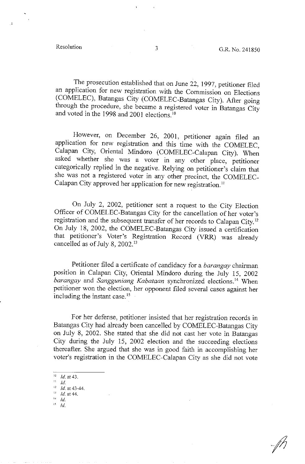$\ddot{\cdot}$ 

The prosecution established that on June 22, 1997, petitioner filed an application for new registration with the Commission on Elections (COMELEC), Batangas City (COMELEC-Batangas City). After going through the procedure, she became a registered voter in Batangas City and voted in the 1998 and 2001 elections. <sup>10</sup>

However, on December 26, 2001, petitioner again filed an application for new registration and this time with the COMELEC, Calapan City, Oriental Mindoro (COMELEC-Calapan City). When asked whether she was a voter in any other place, petitioner categorically replied in the negative. Relying on petitioner's claim that she was not a registered voter in any other precinct, the COMELEC-Calapan City approved her application for new registration.<sup>11</sup>

On July 2, 2002, petitioner sent a request to the City Election Officer of COMELEC-Batangas City for the cancellation of her voter's registration and the subsequent transfer of her records to Calapan City. 12 On July 18, 2002, the COMELEC-Batangas City issued a certification that petitioner's Voter's Registration Record (VRR) was already cancelled as of July 8, 2002.<sup>13</sup>

Petitioner filed a certificate of candidacy for a *barangay* chairman position in Calapan City, Oriental Mindoro during the July 15, 2002 *barangay* and *Sangguniang Kabataan* synchronized elections. 14 When petitioner won the election, her opponent filed several cases against her including the instant case.<sup>15</sup>

For her defense, petitioner insisted that her registration records in Batangas City had already been cancelled by COMELEC-Batangas City on July 8, 2002. She stated that she did not cast her vote in Batangas City during the July 15, 2002 election and the succeeding elections thereafter. She argued that she was in good faith in accomplishing her voter's registration in the COMELEC-Calapan City as she did not vote

 $15$  Id.

<sup>&#</sup>x27; <sup>0</sup>*Id.* at 43.

 $11$  *Id.* 

 $\frac{12}{13}$  *Id.* at 43-44.

*Id.* at 44. **l-l- Id.**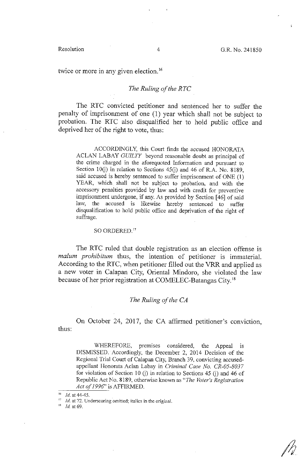twice or more in any given election.<sup>16</sup>

## *The Ruling of the RTC*

The RTC convicted petitioner and sentenced her to suffer the penalty of imprisonment of one (1) year which shall not be subject to probation. The RTC also disqualified her to hold public office and deprived her of the right to vote, thus:

ACCORDINGLY, this Court finds the accused HONORATA A CLAN LABAY *GUILTY* beyond reasonable doubt as principal of the crime charged in the aforequoted Information and pursuant to Section J0(j) in relation to Sections 45(j) and 46 of R.A. No. 8189, said accused is hereby sentenced to suffer imprisonment of ONE (1) YEAR, which shall not be subject to probation, and with the accessory penalties provided by law and with credit for preventive imprisonment undergone, if any. As provided by Section [ 46] of said law, the accused is likewise hereby sentenced to suffer disqualification to hold public office and deprivation of the right of suffrage.

### SO ORDERED."

The RTC ruled that double registration as an election offense is *malum prohibitum* thus, the intention of petitioner is immaterial. According to the RTC, when petitioner filled out the VRR and applied as a new voter in Calapan City, Oriental Mindoro, she violated the law because of her prior registration at COMELEC-Batangas City. <sup>18</sup>

## *The Ruling of the CA*

thus: On October 24, 2017, the CA affirmed petitioner's conviction,

WHEREFORE, premises considered, the Appeal is DISMISSED. Accordingly, the December 2, 2014 Decision of the Regional Trial Court of Calapan City, Branch 39, convicting accusedappellant Honorata Aclan Labay in *Criminal Case No. CR-05-8037*  for violation of Section 10 (j) in relation to Sections 45 (j) and 46 of Republic Act No. 8189, otherwise known as *"The Voter's Registration Act of 1996"* is AFFIRMED.

<sup>&</sup>lt;sup>16</sup> *Id.* at 44-45.

<sup>17</sup>*Id.* **at** 72. **Underscoring omitted; italics in the original.** 

<sup>&</sup>quot; *Id* at 69.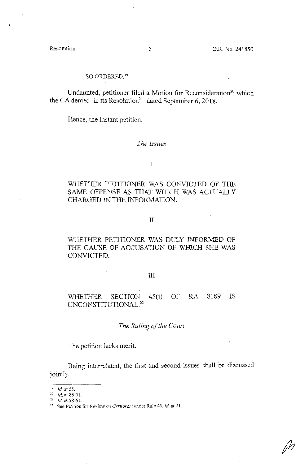*/h* 

## SO ORDERED."

Undaunted, petitioner filed a Motion for Reconsideration<sup>20</sup> which the CA denied in its Resolution<sup>21</sup> dated September 6, 2018.

Hence, the instant petition.

## *The Issues*

## I

# WHETHER PETITIONER WAS CONVICTED OF THE SAME OFFENSE AS THAT WHICH WAS ACTUALLY CHARGED IN THE INFORMATION.

## II

# WHETHER PETITIONER WAS DULY INFORMED OF THE CAUSE OF ACCUSATION OF WHICH SHE WAS CONVICTED.

### III

# WHETHER SECTION 45(j) OF RA 8189 IS UNCONSTITUTIONAL.<sup>22</sup>

## *The Ruling of the Court*

The petition lacks merit.

Being interreiated, the first and second issues shall be discussed jointly.

<sup>&#</sup>x27;° *Id.* at 55.

<sup>&</sup>lt;sup>20</sup> *Id.* at 86-91.<br><sup>21</sup> *Id.* at 58-61.

<sup>&</sup>lt;sup>22</sup> See Petition for Review on Certiorari under Rule 45, *id.* at 21.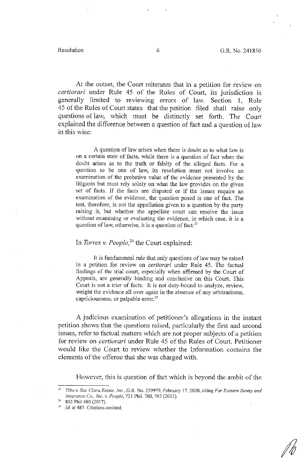At the outset, the Court reiterates that in a petition for review on *certiorari* under Rule 45 of the Rules of Court, its jurisdiction is generally limited to reviewing errors of law. Section 1, Rule 45 of the Rules of Court states that the petition filed shall raise only questions of law, which must be distinctly set forth. The Court explained the difference between a question of fact and a question of law in this wise:

A question of law arises when there is doubt as to what law is on a certain state of facts, while there is a question of fact when the doubt arises as to the truth or falsity of the alleged facts. For a question to be one of law, its resolution must not involve an examination of the probative value of the evidence presented by the litigants but must rely solely on what the law provides on the given set of facts. If the facts are disputed or if the issues require an examination of the evidence, the question posed is one of fact. The test, therefore, is not the appellation given to a question by the party raising it, but whether the appellate court can resolve the issue without examining or evaluating the evidence, in which case, it is a question of law, otherwise, it is a question of fact. $2<sup>3</sup>$ 

# In *Torres v. People*,<sup>24</sup> the Court explained:

It is fundamental rule that only questions of law may be raised in a petition for review on *certiorari* under Rule 45. The factual findings of the trial court, especially when affirmed by the Court of Appeals, are generally binding and conclusive on this Court. This Court is not a trier of facts. It is not duty-bound to analyze, review, weight the evidence all over again in the absence of any arbitrariness, capriciousness, or palpable error.<sup>25</sup>

A judicious examination of petitioner's allegations in the instant petition shows that the questions raised, particularly the first and second issues, refer to factual matters which are not proper subjects of a petition for review on *certiorari* under Rule 45 of the Rules of Court. Petitioner would like the Court to review whether the Information contains the elements of the offense that she was charged with.

However, this is question of fact which is beyond the ambit of the

<sup>23</sup>*Tina v. Sta. Clara Estate, Inc.,* G.R. No. 239979, February 17, 2020, citing *Far Eastern Surety and Insurance Co., Inc. v. People, 721 Phil. 760, 767 (2013).*<br><sup>24</sup> 803 Phil 480 (2017).<br><sup>25</sup> *Id.* at 487. Citations omitted.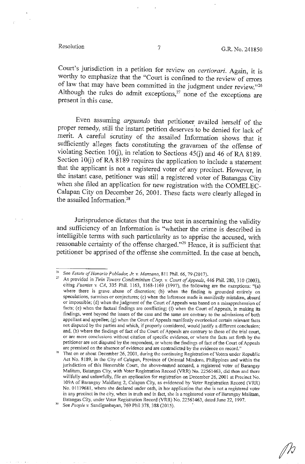fh

Court's jurisdiction in a petition for review on *certiorari.* Again, it is worthy to emphasize that the "Court is confined to the review of errors of law that may have been committed in the judgment under review."<sup>26</sup> Although the rules do admit exceptions, $27$  none of the exceptions are present in this case.

Even assuming *arguendo* that petitioner availed herself of the proper remedy, still the instant petition deserves to be denied for lack of merit. A careful scrutiny of the assailed Information shows that it sufficiently alleges facts constituting the gravamen of the offense of violating Section I0(j), in relation to Sections 45(j) and 46 of RA 8189. Section 10(j) of RA 8189 requires the application to include a statement that the applicant is not a registered voter of any precinct. However, in the instant case, petitioner was still a registered voter of Batangas City when she filed an application for new registration with the COMELEC-Calapan City on December 26, 2001. These facts were clearly alleged in the assailed Information.<sup>28</sup>

Jurisprudence dictates that the true test in ascertaining the validity and sufficiency of an Information is "whether the crime is described in intelligible terms with such particularity as to apprise the accused, with reasonable certainty of the offense charged."29 Hence, it is sufficient that petitioner be apprised of the offense she committed. In the case at bench,

<sup>&</sup>lt;sup>26</sup> See *Estate of Honorio Poblador, Jr. v. Manzano*, 811 Phil. 66, 79 (2017).<br><sup>27</sup> As provided in *Twin Towers Condominium Corp. v. Court of Appeals*, 446 Phil. 280, 310 (2003), citing *Fuentes v CA,* 335 Phil. 1163, 1168-1169 (1997), the following are the exceptions: "(a) **where there is grave. abuse of discretion; (b) when the finding is grounded entirely on speculations, surmises or conjectures; (c) when the inference made is manifestly mistaken, absurd**  or impossible; (d) when the judgment of the Court of Appeals was based on a misapprehension of facts; (e) when the factual findings are conflicting; (f) when the Court of Appeals, in making its findings, went beyond the issues of the case and the same are contrary to the admissions of both appellant and appellee;.(g) when the Court of Appeals manifestly overlooked certain relevant facts **not disputed by the parties and which, if properly considered, would justify a different conclusion;**  and, (h) where the findings of fact of the Court of Appeals are contrary to those of the trial court, **or are mere conclusionS. without citation of specific evidence, or where the facts set forth by the**  petitioner are not disputed by the respondent, or where the findings of fact of the Court of Appeals **are premised on the absence of evidence and are contradicted by the evidence on record."** 

<sup>28</sup>**That on or about December 26, 2001, during the continuing Registration of Voters under Republic**  Act No. 8189, in the City of Calapan, Province of Oriental Mindoro, Philippines and within the jurisdiction of this Honorable Court, the above-named accused, a registered voter of Barangay Malitam, Batangas City, with Voter Registration Record (VRR) No. 22561463, did then and there willfully and unlawfully, file an application for registration on December 26, 2001 at Precinct No. 109A of Barangay Maidlang 2, Calapan City, as evidenced by Voter Registration Record (VRR) No. **01119681, where she declared under oath, in her application that she is not a registered voter**  in any precinct in the city, when in truth and in fact, she is a registered voter of Barangay Malitam, Batangas City. under Voter Registration Record (VRR) No. 22561463, dated June 22, I 997.

<sup>2</sup> See *People v.* Sandiganbayan, 769 Phil 378, 388 (2015).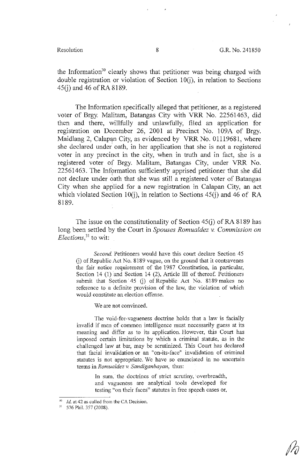*/4* 

the Information<sup>30</sup> clearly shows that petitioner was being charged with double registration or violation of Section  $10(i)$ , in relation to Sections  $45$ (i) and 46 of RA 8189.

The Information specifically alleged that petitioner, as a registered voter of Brgy. Malitam, Batangas City with VRR No. 22561463, did then and there, willfully and unlawfully, filed an application for registration on December 26, 2001 at Precinct No. 109A of Brgy. Maidlang 2, Calapan City, as evidenced by VRR No. 01119681, where she declared under oath, in her application that she is not a registered voter in any precinct in the city, when in truth and in fact, she is a registered voter of Brgy. Malitam, Batangas City, under VRR No. 22561463. The Information sufficiently apprised petitioner that she did not declare under oath that she was still a registered voter of Batangas City when she applied for a new registration in Calapan City, an act which violated Section 10(j), in relation to Sections 45(j) and 46 of RA 8189.

The issue on the constitutionality of Section  $45(j)$  of RA 8189 has long been settled by the Court in *Spouses Romualdez v. Commission on Elections*<sup>31</sup> to wit:

*Second.* Petitioners would have this court declare Section 45 G) of Republic Act No. 8189 vague, on the ground that it contravenes the fair notice requirement of the 1987 Constitution, in particular, Section 14 (1) and Section 14 (2), Article III of thereof. Petitioners submit that Section 45 (j) of Republic Act No. 8189 makes no reference to a definite provision of the law, the violation of which would constitute an election offense.

We are not convinced.

The void-for-vagueness doctrine holds that a law is facially invalid if men of common intelligence must necessarily guess at its meaning and differ as to its application. However, this Court has imposed certain limitations by which a criminal statute, as in the challenged law at bar, may be scrutinized. This Court has declared that facial invalidation or an "on-its-face" invalidation of criminal statutes is not appropriate. We have so enunciated in no uncertain terms in *Romualdez v Sandiganbayan,* thus:

> In sum, the doctrines of strict scrutiny, overbreadth, and vagueness are analytical tools developed for testing "on their faces" statutes in free speech cases or,

<sup>&</sup>lt;sup>30</sup>Id. at 42 as culled from the CA Decision.<br><sup>31</sup>  $576$  Phil 357 (2008)

<sup>576</sup> Phil. 357 (2008).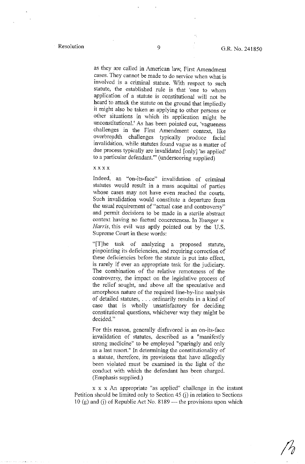as they are called in American law, First Amendment cases. They cannot be made to do service when what is involved is a criminal statute. With respect to such statute, the established rule is that 'one to whom application of a statute is constitutional will not be heard to attack the statute on the ground that impliedly it might also be taken as applying to other persons or other situations in which its application might be unconstitutional.' As has been pointed out, 'vagueness challenges in the First Amendment context, like overbreadth challenges typically produce facial invalidation, while statutes found vague as a matter of due process typically are invalidated [only] 'as applied' to a particular defendant."' (underscoring supplied)

### xxxx

Indeed, an "on-its-face" invalidation . of criminal statutes would result in a mass acquittal of parties whose cases may not have even reached the courts. Such invalidation would constitute a departure from the usual requirement of "actual case and controversy" and permit decisions to be made in a sterile abstract context having no factual concreteness. In *Younger v. Harris,* this evil was aptly pointed out by the U.S. Supreme Court in these words:

"[T]he task of analyzing a proposed statute, pinpointing its deficiencies, and requiring correction of these deficiencies before the statute is put into effect, is rarely if ever an appropriate task for .the judiciary. The combination of the relative remoteness of the controversy, the impact on the legislative process of the relief sought, and above all the speculative and amorphous nature of the required line-by-line analysis of detailed statutes, ... ordinarily results in a kind of case that is wholly unsatisfactory for deciding constitutional questions, whichever way they might be decided."

For this reason, generally disfavored is an on-its-face invalidation of statutes, described as a "manifestly strong medicine" to be employed "sparingly and only as a last resort." In determining the constitutionality of a statute, therefore, its provisions that have allegedly been violated must be examined in the light of the conduct with which the defendant has been charged. (Emphasis supplied.)

x x x An appropriate "as applied" challenge in the instant Petition should be limited only to Section 45 (j) in relation to Sections 10 (g) and (j) of Republic Act No.  $8189$  --- the provisions upon which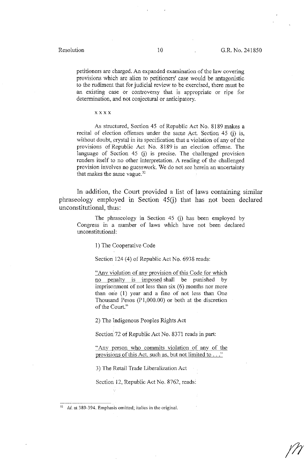petitioners are charged. An expanded examination of the law covering provisions which are alien to petitioners' case would be antagonistic to the rudiment that for judicial review to be exercised, there must be an existing case or controversy that is appropriate or ripe for determination, and not conjectural or anticipatory.

xxxx

As structured, Section 45 of Republic Act No. 8189 makes a recital of election offenses under the same Act. Section 45 (j) is, without doubt, crystal in its specification that a violation of any of the provisions of Republic Act No. 8189 is an election offense. The language of Section 45 (j) is precise. The challenged provision renders itself to no other interpretation. A reading of the challenged provision involves no guesswork. We do not see herein an uncertainty that makes the same vague.<sup>32</sup>

In addition, the Court provided a list of laws containing similar phraseology employed in Section 45(j) that has not been declared unconstitutional, thus:

The phraseology in Section 45 (j) has been employed by Congress in a number of laws which have not been declared unconstitutional:

1) The Cooperative Code

Section 124 (4) of Republic Act No. 6938 reads:

"Any violation of any provision of this Code for which no penalty is imposed shall be punished by imprisonment of not less than  $s$ ix  $(6)$  months nor more than one  $(1)$  year and a fine of not less than One Thousand Pesos (Pl,000.00) or both at the discretion of the Court."

2) The Indigenous Peoples Rights Act

Section 72 of Republic Act No. 8371 reads in part:

"Any person who commits violation of any of the provisions of this Act. such as, but not limited to ... "

3) The Retail Trade Liberalization Act

Section 12, Republic Act No. 8762, reads:

<sup>&</sup>lt;sup>32</sup> *Id.* at 389-394. Emphasis omitted; italics in the original.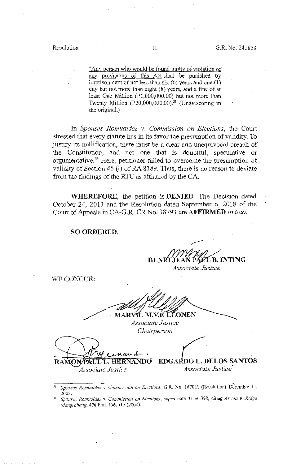"Any person who would be found guilty of violation of any provisions of this Act shall be punished by imprisonment of not less than six  $(6)$  years and one  $(1)$ day but not more than eight (8) years, and a fine of at least One Million (Pl,000,000.00) but not more than Twenty Million (P20,000,000.00).<sup>33</sup> (Underscoring in the original.)

In *Spouses Romualdez v. Commission on Elections,* the Court stressed that every statute has in its favor the presumption of validity. To justify its nullification, there must be a clear and unequivocal breach of the Constitution, and not one that is doubtful, speculative or argumentative.<sup>34</sup> Here, petitioner failed to overcome the presumption of validity of Section 45 (i) of RA 8189. Thus, there is no reason to deviate from the findings of the RTC as affirmed by the CA.

**WHEREFORE,** the petition is **DENIED.** The Decision dated October 24, 2017 and the Resolution dated September 6, 2018 of the Court of Appeals in CA-G.R. CR No. 38793 are **AFFIRMED** *in toto.* 

## **SO ORDERED.**

,---- **V PAXL B. INTING** 

*Associate Justice* 

WE CONCUR:

MARVIC M.V.F. LEONEN

*Associate Justice Chairperson* 

unud **AUL L. HERNANDO RAMO** 

*Associate Justice* 

**...**  $\sqrt{\frac{1}{2}}$ **EDGARDO L. DELOS SANTOS**  *Associate Justice* 

- *ii Spouses Romualdez v. Commission on Elections,* **G.R. No. 167011 (Resolution) December 11,**
- 2008. 34 *Spouses Romua!dez v. Commission on Elections, supra* **note 31 at 398, citing** *Arceta v. Judge Mangrobang,* 476 Phil. 106, !15 (2004).